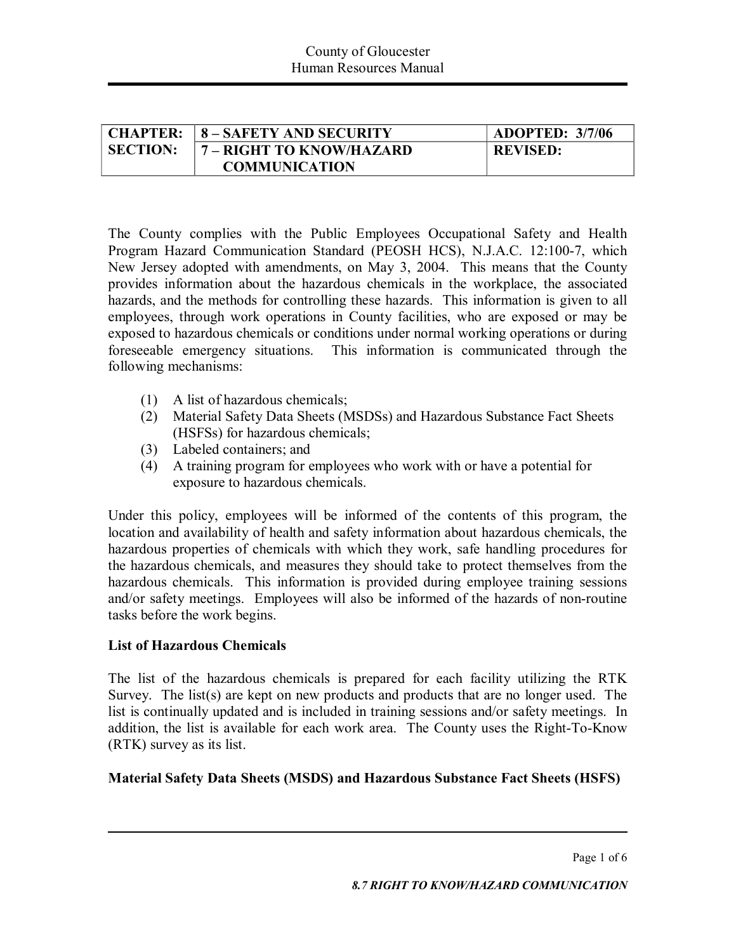| <b>CHAPTER:</b> | <b>8-SAFETY AND SECURITY</b> | <b>ADOPTED: 3/7/06</b> |
|-----------------|------------------------------|------------------------|
| <b>SECTION:</b> | 7 – RIGHT TO KNOW/HAZARD     | <b>REVISED:</b>        |
|                 | <b>COMMUNICATION</b>         |                        |

The County complies with the Public Employees Occupational Safety and Health Program Hazard Communication Standard (PEOSH HCS), N.J.A.C. 12:100-7, which New Jersey adopted with amendments, on May 3, 2004. This means that the County provides information about the hazardous chemicals in the workplace, the associated hazards, and the methods for controlling these hazards. This information is given to all employees, through work operations in County facilities, who are exposed or may be exposed to hazardous chemicals or conditions under normal working operations or during foreseeable emergency situations. This information is communicated through the following mechanisms:

- (1) A listof hazardous chemicals;
- (2) Material Safety Data Sheets (MSDSs) and Hazardous Substance Fact Sheets (HSFSs) for hazardous chemicals;
- (3) Labeled containers; and
- (4) A training program foremployees who work with or have a potential for exposure to hazardous chemicals.

Under this policy, employees will be informed of the contents of this program, the location and availability of health and safety information about hazardous chemicals, the hazardous properties of chemicals with which they work, safe handling procedures for the hazardous chemicals, and measures they should take to protect themselves from the hazardous chemicals. This information is provided during employee training sessions and/or safety meetings. Employees will also be informed of the hazards of non-routine tasks before the work begins.

## **List of Hazardous Chemicals**

The list of the hazardous chemicals is prepared for each facility utilizing the RTK Survey. The list(s) are kept on new products and products that are no longer used. The list is continually updated and is included in training sessions and/or safety meetings. In addition, the list is available for each work area. The County uses the Right-To-Know (RTK) survey as its list.

## **Material Safety Data Sheets (MSDS) and Hazardous Substance Fact Sheets (HSFS)**

Page 1 of 6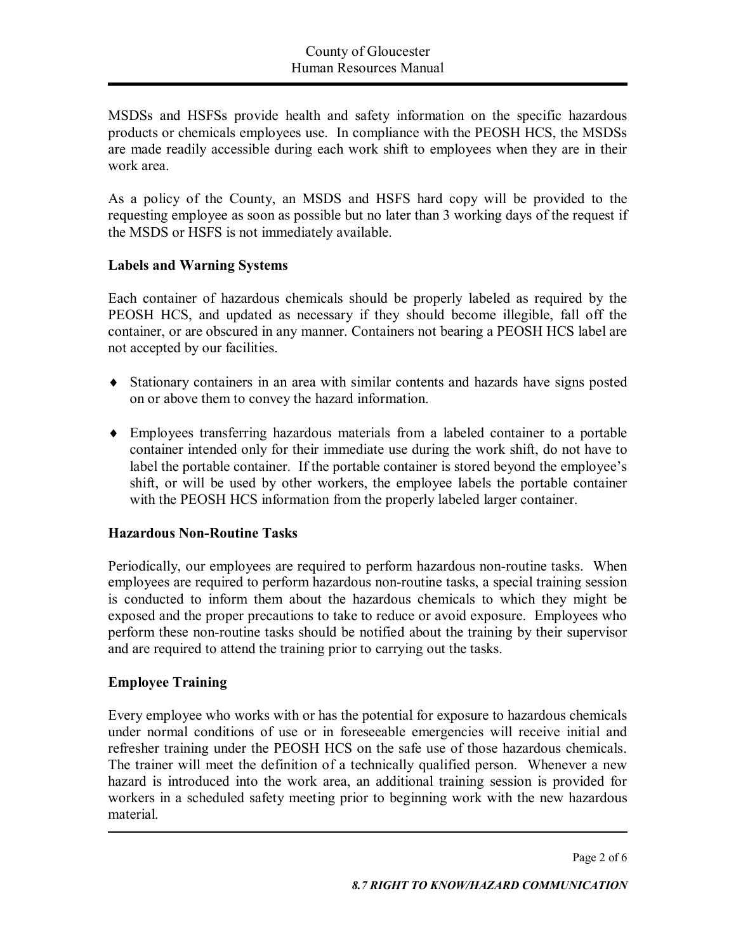MSDSs and HSFSs provide health and safety information on the specific hazardous products or chemicals employees use. In compliance with the PEOSH HCS, the MSDSs are made readily accessible during each work shift to employees when they are in their work area.

As a policy of the County, an MSDS and HSFS hard copy will be provided to the requesting employee as soon as possible but no later than 3 working days of the request if the MSDS or HSFS is not immediately available.

## **Labels and Warning Systems**

Each container of hazardous chemicals should be properly labeled as required by the PEOSH HCS, and updated as necessary if they should become illegible, fall off the container, or are obscured in any manner. Containers not bearing a PEOSH HCS label are not accepted by our facilities.

- ® Stationary containers in an area with similar contents and hazards have signs posted on or above them to convey the hazard information.
- ® Employees transferring hazardous materials from a labeled container to a portable container intended only for their immediate use during the work shift, do not have to label the portable container. If the portable container is stored beyond the employee's shift, or will be used by other workers, the employee labels the portable container with the PEOSH HCS information from the properly labeled larger container.

# **Hazardous Non-Routine Tasks**

Periodically, our employees are required to perform hazardous non-routine tasks. When employees are required to perform hazardous non-routine tasks, a special training session is conducted to inform them about the hazardous chemicals to which they might be exposed and the proper precautions to take to reduce or avoid exposure. Employees who perform these nonroutine tasks should be notified about the training by their supervisor and are required to attend the training prior to carrying out the tasks.

## **Employee Training**

Every employee who works with or has the potential for exposure to hazardous chemicals under normal conditions of use or in foreseeable emergencies will receive initial and refresher training under the PEOSH HCS on the safe use of those hazardous chemicals. The trainer will meet the definition of a technically qualified person. Whenever a new hazard is introduced into the work area, an additional training session is provided for workers in a scheduled safety meeting prior to beginning work with the new hazardous material.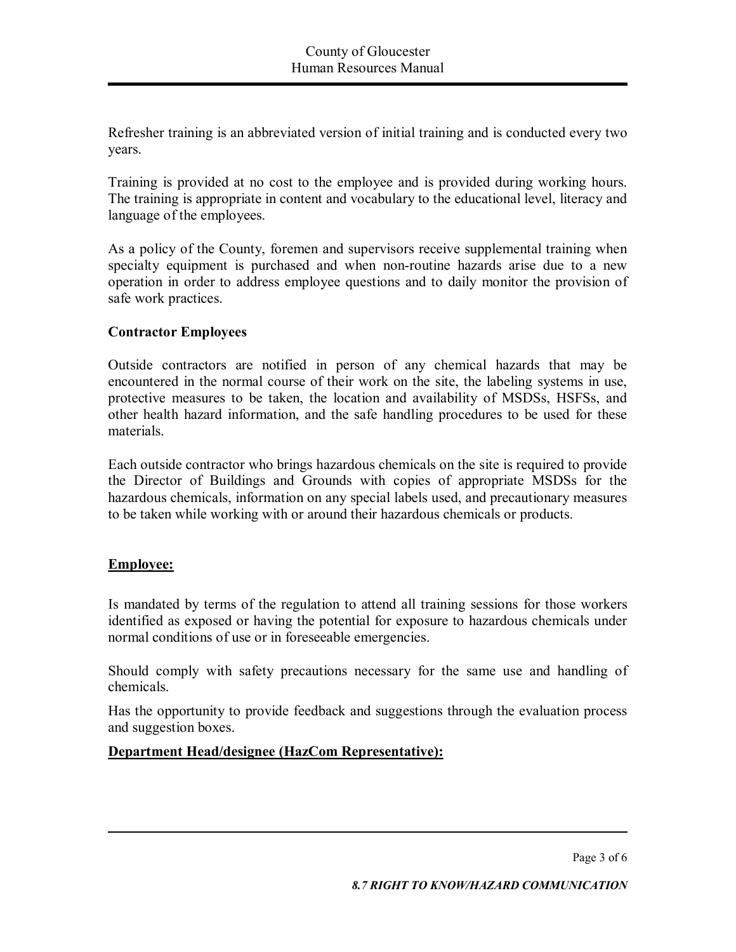Refresher training is an abbreviated version of initial training and is conducted every two years.

Training is provided at no cost to the employee and is provided during working hours. The training is appropriate in content and vocabulary to the educational level, literacy and language of the employees.

As a policy of the County, foremen and supervisors receive supplemental training when specialty equipment is purchased and when non-routine hazards arise due to a new operation in order to address employee questions and to daily monitor the provision of safe work practices.

# **Contractor Employees**

Outside contractors are notified in person of any chemical hazards that may be encountered in the normal course of their work on the site, the labeling systems in use, protective measures to be taken, the location and availability of MSDSs, HSFSs, and other health hazard information, and the safe handling procedures to be used for these materials.

Each outside contractor who brings hazardous chemicals on the site is required to provide the Director of Buildings and Grounds with copies of appropriate MSDSs for the hazardous chemicals, information on any special labels used, and precautionary measures to be taken while working with or around their hazardous chemicals or products.

## **Employee:**

Is mandated by terms of the regulation to attend all training sessions for those workers identified as exposed or having the potential for exposure to hazardous chemicals under normal conditions of use or in foreseeable emergencies.

Should comply with safety precautions necessary for the same use and handling of chemicals.

Has the opportunity to provide feedback and suggestions through the evaluation process and suggestion boxes.

## **Department Head/designee (HazCom Representative):**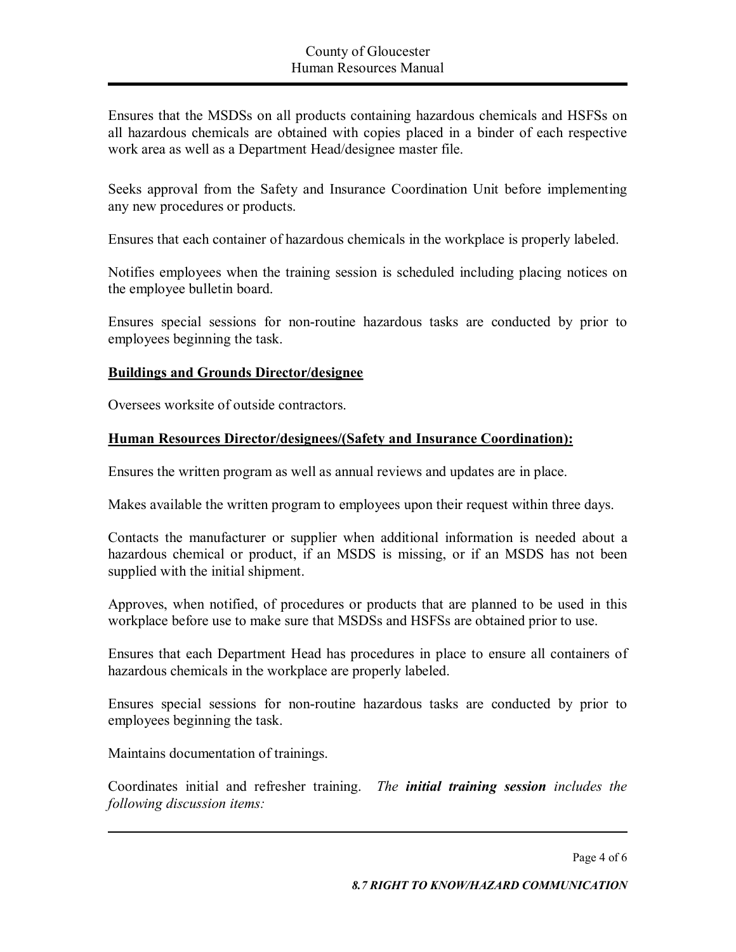Ensures that the MSDSs on all products containing hazardous chemicals and HSFSs on all hazardous chemicals are obtained with copies placed in a binder of each respective work area as well as a Department Head/designee master file.

Seeks approval from the Safety and Insurance Coordination Unit before implementing any new procedures or products.

Ensures that each container of hazardous chemicals in the workplace is properly labeled.

Notifies employees when the training session is scheduled including placing notices on the employee bulletin board.

Ensures special sessions for non-routine hazardous tasks are conducted by prior to employees beginning the task.

## **Buildings and Grounds Director/designee**

Oversees worksite of outside contractors.

## **Human Resources Director/designees/(Safety and Insurance Coordination):**

Ensures the written program as well as annual reviews and updates are in place.

Makes available the written program to employees upon their request within three days.

Contacts the manufacturer or supplier when additional information is needed about a hazardous chemical or product, if an MSDS is missing, or if an MSDS has not been supplied with the initial shipment.

Approves, when notified, of procedures or products that are planned to be used in this workplace before use to make sure that MSDSs and HSFSs are obtained prior to use.

Ensures that each Department Head has procedures in place to ensure all containers of hazardous chemicals in the workplace are properly labeled.

Ensures special sessions for non-routine hazardous tasks are conducted by prior to employees beginning the task.

Maintains documentation of trainings.

Coordinates initial and refresher training. *The initial training session includes the following discussion items:*

Page 4 of 6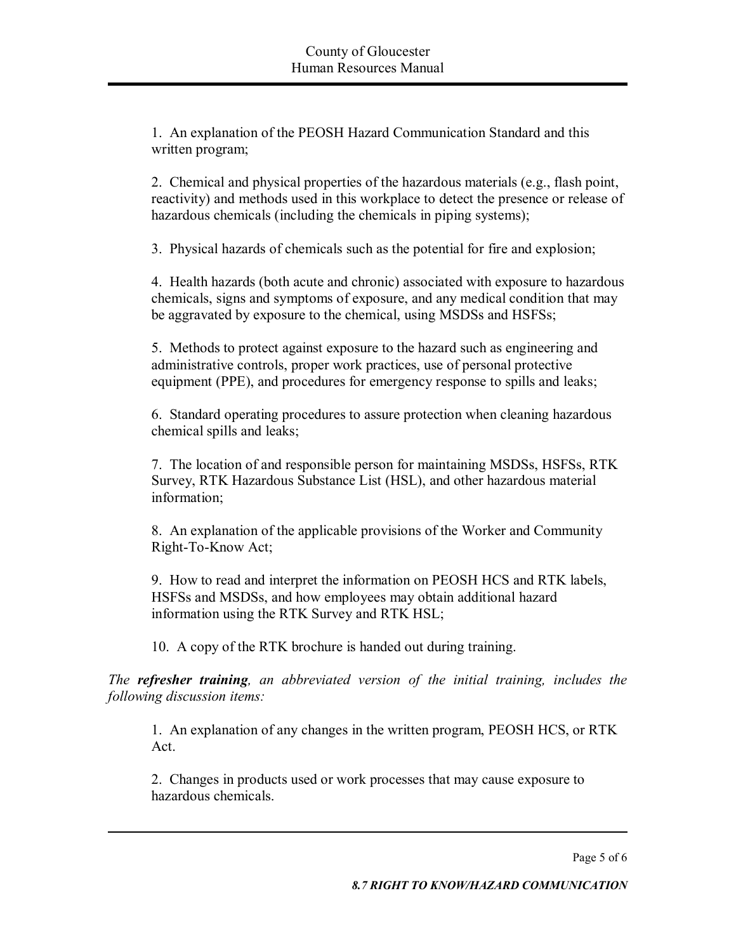1. An explanation of the PEOSH Hazard Communication Standard and this written program;

2. Chemical and physical properties of the hazardous materials (e.g., flash point, reactivity) and methods used in this workplace to detect the presence or release of hazardous chemicals (including the chemicals in piping systems);

3. Physical hazards of chemicals such as the potential for fire and explosion;

4. Health hazards (both acute and chronic) associated with exposure to hazardous chemicals, signs and symptoms of exposure, and any medical condition that may be aggravated by exposure to the chemical, using MSDSs and HSFSs;

5. Methods to protect against exposure to the hazard such as engineering and administrative controls, proper work practices, use of personal protective equipment (PPE), and procedures for emergency response to spills and leaks;

6. Standard operating procedures to assure protection when cleaning hazardous chemical spills and leaks;

7. The location of and responsible person for maintaining MSDSs, HSFSs, RTK Survey, RTK Hazardous Substance List (HSL), and other hazardous material information;

8. An explanation of the applicable provisions of the Worker and Community Right-To-Know Act;

9. How to read and interpret the information on PEOSH HCS and RTK labels, HSFSs and MSDSs, and how employees may obtain additional hazard information using the RTK Survey and RTK HSL;

10. A copy of the RTK brochure is handed out during training.

*The refresher training, an abbreviated version of the initial training, includes the following discussion items:*

1. An explanation of any changes in the written program, PEOSH HCS, or RTK Act.

2. Changes in products used or work processes that may cause exposure to hazardous chemicals.

Page 5 of 6